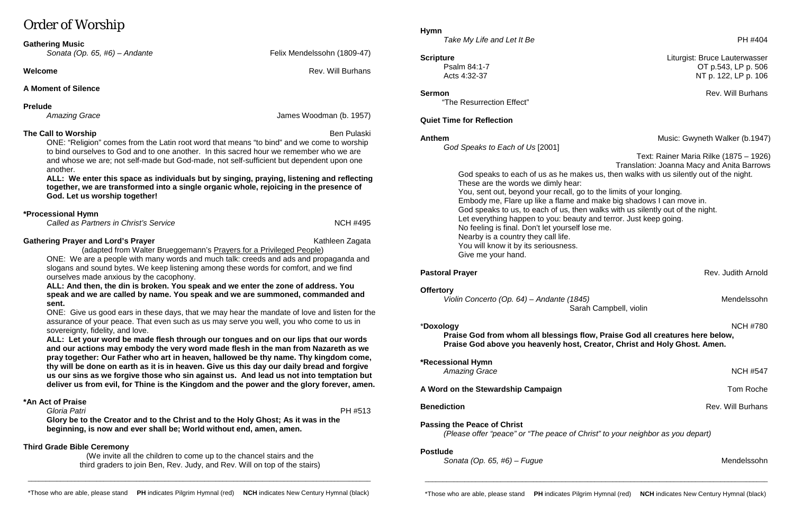# Order of Worship

| <b>Gathering Music</b> |                                 |
|------------------------|---------------------------------|
|                        | Sonata (On $65$ HG) $=$ Andanta |

*Sonata (Op. 65, #6) – Andante* Felix Mendelssohn (1809-47)

**Welcome Rev. Will Burhans** 

# **A Moment of Silence**

**Prelude**<br>Amazing Grace

**The Call to Worship Ben Pulaski** and the Call to Worship Ben Pulaski and the Call to Worship ONE: "Religion" comes from the Latin root word that means "to bind" and we come to worship

to bind ourselves to God and to one another. In this sacred hour we remember who we are and whose we are; not self-made but God-made, not self-sufficient but dependent upon one another.

**ALL: We enter this space as individuals but by singing, praying, listening and reflecting together, we are transformed into a single organic whole, rejoicing in the presence of God. Let us worship together!** 

## **\*Processional Hymn**

*Called as Partners in Christ's Service* NCH #495

### **Gathering Prayer and Lord's Prayer** Kathleen Zagata Kathleen Zagata

James Woodman (b. 1957)

(adapted from Walter Brueggemann's Prayers for a Privileged People)

ONE: We are a people with many words and much talk: creeds and ads and propaganda and slogans and sound bytes. We keep listening among these words for comfort, and we find ourselves made anxious by the cacophony.

**Hymn** *Take My Life and Let It Be* PH #404

**ALL: And then, the din is broken. You speak and we enter the zone of address. You speak and we are called by name. You speak and we are summoned, commanded and sent.**

ONE: Give us good ears in these days, that we may hear the mandate of love and listen for the assurance of your peace. That even such as us may serve you well, you who come to us in sovereignty, fidelity, and love.

**ALL: Let your word be made flesh through our tongues and on our lips that our words and our actions may embody the very word made flesh in the man from Nazareth as we pray together: Our Father who art in heaven, hallowed be thy name. Thy kingdom come, thy will be done on earth as it is in heaven. Give us this day our daily bread and forgive us our sins as we forgive those who sin against us. And lead us not into temptation but deliver us from evil, for Thine is the Kingdom and the power and the glory forever, amen.**

**\*Recessional Hymn**  Amazing Grace NCH #547

A Word on the Stewardship Campaign **A Word on the Stewardship Campaign Tom Roche** 

# **\*An Act of Praise**

 *Gloria Patri* PH #513 **Glory be to the Creator and to the Christ and to the Holy Ghost; As it was in the beginning, is now and ever shall be; World without end, amen, amen.**

## **Third Grade Bible Ceremony**

(We invite all the children to come up to the chancel stairs and the third graders to join Ben, Rev. Judy, and Rev. Will on top of the stairs) "The Resurrection Effect"

## **Quiet Time for Reflection**

*God Speaks to Each of Us* [2001]

 Text: Rainer Maria Rilke (1875 – 1926) Translation: Joanna Macy and Anita Barrows

**Pastoral Prayer Pastoral Prayer Rev. Judith Arnold** 

**Benediction** Rev. Will Burhans

God speaks to each of us as he makes us, then walks with us silently out of the night. These are the words we dimly hear: You, sent out, beyond your recall, go to the limits of your longing. Embody me, Flare up like a flame and make big shadows I can move in. God speaks to us, to each of us, then walks with us silently out of the night. Let everything happen to you: beauty and terror. Just keep going. No feeling is final. Don't let yourself lose me. Nearby is a country they call life. You will know it by its seriousness. Give me your hand.

### **Offertory**

*Violin Concerto (Op. 64) – Andante (1845)* Mendelssohn Sarah Campbell, violin

# \***Doxology** NCH #780

**Praise God from whom all blessings flow, Praise God all creatures here below, Praise God above you heavenly host, Creator, Christ and Holy Ghost. Amen.**

**Passing the Peace of Christ** *(Please offer "peace" or "The peace of Christ" to your neighbor as you depart)*

## **Postlude**

*Sonata (Op. 65, #6) – Fugue* Mendelssohn

\_\_\_\_\_\_\_\_\_\_\_\_\_\_\_\_\_\_\_\_\_\_\_\_\_\_\_\_\_\_\_\_\_\_\_\_\_\_\_\_\_\_\_\_\_\_\_\_\_\_\_\_\_\_\_\_\_\_\_\_\_\_\_\_\_\_\_\_\_\_\_\_\_\_\_\_\_\_\_\_\_\_\_\_\_\_\_\_\_\_\_\_\_\_\_

\_\_\_\_\_\_\_\_\_\_\_\_\_\_\_\_\_\_\_\_\_\_\_\_\_\_\_\_\_\_\_\_\_\_\_\_\_\_\_\_\_\_\_\_\_\_\_\_\_\_\_\_\_\_\_\_\_\_\_\_\_\_\_\_\_\_\_\_\_\_\_\_\_\_\_\_\_\_\_\_\_\_\_\_\_\_\_\_\_\_\_\_\_\_\_

**Scripture** Liturgist: Bruce Lauterwasser Psalm 84:1-7 OT p.543, LP p. 506 Acts 4:32-37 NT p. 122, LP p. 106

**Sermon** Rev. Will Burhans

**Anthem Anthem Anthem Music: Gwyneth Walker (b.1947)**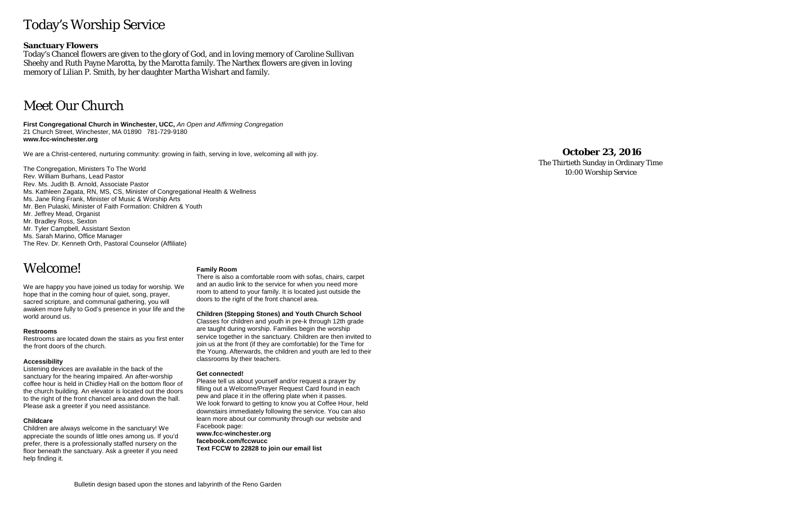# Today's Worship Service

### **Sanctuary Flowers**

Today's Chancel flowers are given to the glory of God, and in loving memory of Caroline Sullivan Sheehy and Ruth Payne Marotta, by the Marotta family. The Narthex flowers are given in loving memory of Lilian P. Smith, by her daughter Martha Wishart and family.

# Meet Our Church

**First Congregational Church in Winchester, UCC,** *An Open and Affirming Congregation* 21 Church Street, Winchester, MA 01890 781 -729 -9180 **www.fcc -winchester.org**

We are a Christ -centered, nurturing community: growing in faith, serving in love, welcoming all with joy.

The Congregation, Ministers To The World Rev. William Burhans, Lead Pastor Rev. Ms. Judith B. Arnold, Associate Pastor Ms. Kathleen Zagata, RN, MS, CS, Minister of Congregational Health & Wellness Ms. Jane Ring Frank, Minister of Music & Worship Arts Mr. Ben Pulaski, Minister of Faith Formation: Children & Youth Mr. Jeffrey Mead, Organist Mr. Bradley Ross, Sexton Mr. Tyler Campbell, Assistant Sexton Ms. Sarah Marino, Office Manager The Rev. Dr. Kenneth Orth, Pastoral Counselor (Affiliate)

# Welcome!

We are happy you have joined us today for worship. We hope that in the coming hour of quiet, song, prayer, sacred scripture, and communal gathering, you will awaken more fully to God's presence in your life and the world around us.

### **Restrooms**

Restrooms are located down the stairs as you first enter the front doors of the church.

### **Accessibility**

Listening devices are available in the back of the sanctuary for the hearing impaired. An after -worship coffee hour is held in Chidley Hall on the bottom floor of the church building. An elevator is located out the doors to the right of the front chancel area and down the hall. Please ask a greeter if you need assistance.

### **Childcare**

Children are always welcome in the sanctuary! We appreciate the sounds of little ones among us. If you'd prefer, there is a professionally staffed nursery on the floor beneath the sanctuary. Ask a greeter if you need help finding it.

### **Family Room**

There is also a comfortable room with sofas, chairs, carpet and an audio link to the service for when you need more room to attend to your family. It is located just outside the doors to the right of the front chancel area.

### **Children (Stepping Stones) and Youth Church School**

Classes for children and youth in pre -k through 12th grade are taught during worship. Families begin the worship service together in the sanctuary. Children are then invited to join us at the front (if they are comfortable) for the Time for the Young. Afterwards, the children and youth are led to their classrooms by their teachers.

### **Get connected!**

Please tell us about yourself and/or request a prayer by filling out a Welcome/Prayer Request Card found in each pew and place it in the offering plate when it passes. We look forward to getting to know you at Coffee Hour, held downstairs immediately following the service. You can also learn more about our community through our website and Facebook page: **www.fcc -winchester.org facebook.com/fccwucc Text FCCW to 22828 to join our email list**

## **October 23, 2016**

The Thirtieth Sunday in Ordinary Time 10:00 Worship Service